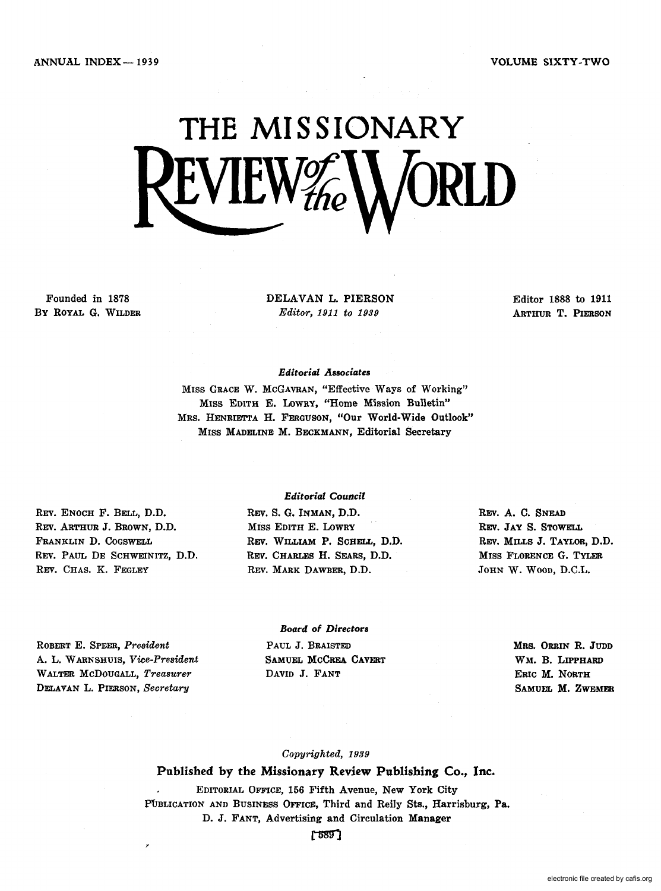# **THE MISSIONARY**   $EVIEW^{\nu}_{the}$

Founded in 1878 By ROYAL G. WILDER DELAVAN L. PIERSON *Editor,* 1911 *to 1939* 

Editor 1888 to 1911 ARTHUR T. PIERSON

#### *Editorial Associates*

MISS GRACE W. MCGAVRAN, "Effective Ways of Working" MISS EDITH E. LOWRY, "Home Mission Bulletin" MRS. HENRIETTA H. FERGUSON, "Our World-Wide Outlook" MISS MADELINE M. BECKMANN, Editorial Secretary

REV. ENOCH F. BELL, D.D. REV. ARTHUR J. BROWN, D.D. FRANKLIN D. COGSWELL REV. PAUL DE SCHWEINITZ, D.D. REV. CHAS. K. FEGLEY

#### *Editorial Council*

REV. S. G. INMAN, D.D. MISS EDITH E. LOWRY REV. WILLIAM P. SCHELL, D.D. REV. CHARLES H. SEARS, D.D. REV. MARK DAWBER, D.D.

REV. A. C. SNEAD REV. JAY S. STOWELL REV. MILLS J. TAYLOR, D.D. MISS FLORENCE G. TYLER JOHN W. WOOD, D.C.L.

ROBERT E. SPEER, *President*  A. L. WARNSHUIS, *Vice-President*  WALTER McDOUGALL, *Treasurer*  DELAVAN L. PIERSON, *Secretary* 

#### *Board of Directors*  PAUL J. BRAISTED SAMUEL MCCREA CAVERT DAVID J. FANT

MRS. ORRIN R. JUDD WM. B. LIPPHARD ERIC M. NORTH SAMUEL M. ZWEMER

#### *Copyrighted, 1939*

#### Published by the Missionary Review Publishing Co., Inc.

EDITORIAL OFFICE, 156 Fifth Avenue, New York City PUBLICATION AND BUSINESS OFFICE, Third and Reily Sts., Harrisburg, Pa. D. J. FANT, Advertising and Circulation Manager

 $[589]$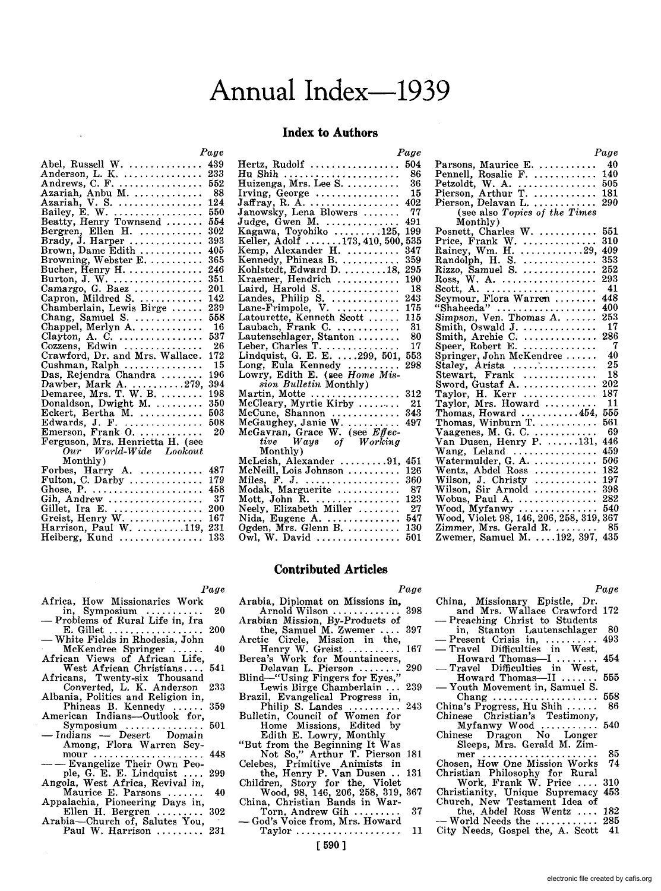## Annual Index--1939

#### **Index to Authors**

*Page* 

|                                                                           | 1 uye    |
|---------------------------------------------------------------------------|----------|
| Abel, Russell W.<br>Anderson, L. K.<br>Andrews, C. F.<br>Azariah, Anbu M. | 439      |
|                                                                           | 233      |
|                                                                           | 552      |
|                                                                           | - 88     |
| Azariah, V. S.                                                            | 124      |
| Bailey, E. W.                                                             | 550      |
| Beatty, Henry Townsend                                                    | 554      |
|                                                                           | $_{302}$ |
| Bergren, Ellen H.<br>Brady, J. Harper                                     | 393      |
| Brown, Dame Edith                                                         | 405      |
| Browning, Webster E.                                                      | 365      |
| Bucher, Henry H. $\dots\dots\dots\dots\dots$                              | 246      |
|                                                                           | 351      |
| Burton, J. W.<br>Camargo, G. Baez                                         | 201      |
| Capron, Mildred S.                                                        | 142      |
| Chamberlain, Lewis Birge                                                  | 239      |
| Chang, Samuel S.                                                          | 558      |
| Chappel, Merlyn A.                                                        | - 16     |
| Clayton, A. C.                                                            | 537      |
| Cozzens, Edwin $\dots \dots \dots$                                        | 26       |
| Crawford, Dr. and Mrs. Wallace.                                           | 172      |
| Cushman, Ralph                                                            | 15       |
| Das, Rejendra Chandra                                                     | 196      |
|                                                                           | 394      |
| Dawber, Mark A. 279,<br>Demaree, Mrs. T. W. B.                            | 198      |
| Donaldson, Dwight M. $\ldots$                                             | 350      |
| Eckert, Bertha M. $\ldots$                                                | 503      |
|                                                                           | 508      |
| Edwards, J. F.<br>Emerson, Frank O.                                       | 20       |
| Ferguson, Mrs. Henrietta H. (see                                          |          |
| Our World-Wide Lookout                                                    |          |
| Monthly)                                                                  |          |
|                                                                           | 487      |
| Forbes, Harry A.<br>Fulton, C. Darby                                      | 179      |
| Ghose, $P.$                                                               | 458      |
| Gih, Andrew                                                               | -37      |
|                                                                           | 200      |
|                                                                           | 167      |
| Harrison, Paul W. 119,                                                    | 231      |
| Heiberg. Kund                                                             | 133      |

*Page* 

| Hertz, Rudolf                                                                                  | 504  |
|------------------------------------------------------------------------------------------------|------|
|                                                                                                | - 86 |
| Hu Shih<br>Huizenga, Mrs. Lee S.                                                               | -36  |
|                                                                                                | 15   |
|                                                                                                | 402  |
|                                                                                                | 77   |
|                                                                                                | 491  |
|                                                                                                |      |
|                                                                                                | 199  |
|                                                                                                | 535  |
|                                                                                                | 347  |
|                                                                                                | 359  |
|                                                                                                | 295  |
|                                                                                                | 190  |
| Laird, Harold S.                                                                               | 18   |
| Landes, Philip S.                                                                              | 243  |
| Lane-Frimpole, V.<br>Latourette, Kenneth Scott<br>Laubach, Frank C.<br>Lautenschlager, Stanton | 175  |
|                                                                                                | 115  |
|                                                                                                | - 31 |
|                                                                                                | - 80 |
|                                                                                                |      |
| Leber, Charles T.  17<br>Lindquist, G. E. E. 299, 501, 553                                     |      |
|                                                                                                | 298  |
| Long, Eula Kennedy<br>Lowry, Edith E. (see Home Mission Bulletin Monthly)                      |      |
|                                                                                                |      |
|                                                                                                |      |
| Martin, Motte<br>McCleary, Myrtie Kirby                                                        | 312  |
|                                                                                                | - 21 |
|                                                                                                | 343  |
| McCune, Shannon<br>McGaughey, Janie W.<br>McGavran, Grace W. (see Effective Ways of Working    | 497  |
|                                                                                                |      |
|                                                                                                |      |
| Monthly)                                                                                       |      |
| McLeish, Alexander 91,                                                                         | 451  |
| McNeill, Lois Johnson                                                                          | 126  |
|                                                                                                | 360  |
| Miles, F. J.<br>Modak, Marguerite                                                              | - 87 |
|                                                                                                | 123  |
| Mott, John R.<br>Neely, Elizabeth Miller<br>Nida, Eugene A.<br>Ogden, Mrs. Glenn B.            | - 27 |
|                                                                                                | 547  |
|                                                                                                | 130  |
|                                                                                                |      |
| Owl, W. David $\ldots$                                                                         | 501  |

*Page*  Parsons, Maurice E. ........... Pennell, Rosalie F. ............ 140 Petzoldt, W. A. ............... 505 Pierson, Arthur T ............. 181 Pierson, Delavan L. ............ 290 (see also *Topics of the Times*  Monthly) Posnett, Charles W. ........... 551 Price, Frank W. .............. 310 Rainey, Wm. H ............. 29, 409 Randolph, H. S. .............. 353 Rizzo, Samuel S. .............. 252 Ross, W. A. .................. 293 Scott, A. ..................... 41 Seymour, Flora Warren ........ 448 "Shaheeda" ................... 400 Simpson, Ven. Thomas A ....... 253 Smith, Oswald J. .............. 17 Smith, Archie C. .............. 286 Speer, Robert E. .............. 7 Springer, John McKendree . . . . . . 40<br>Staley. Arista . . . . . . . . . . . . . . . 25 Staley, Arista ..... '. . . . . . . . . .. 25 Stewart, Frank .............. 18 Sword, Gustaf A. .............. 202 Sword, Gustaf A. . . . . . . . . . . . . . . . . 202<br>Taylor, H. Kerr . . . . . . . . . . . . . 187 Taylor, Mrs. Howard .......... 11 Thomas, Howard ........... 454, 555 Thomas, Winburn T ............ 561 Vaagenes, M. G. C. ............ 69 Van Dusen, Henry P.  $\dots$  131, 446 Wang, Leland ................ 459 Watermulder, G. A ............. 506 Wentz, Abdel Ross ............ 182 Welliz, Abdel Ross<br>
Wilson, J. Christy<br>
Wilson, Sir Arnold ................ 398 Whison, Sir Arnold ............... 398<br>Wobus, Paul A. ................. 282 Wood, Myfanwy ............... 540 Wood, Violet 98,146,206,258,319,367 Zimmer, Mrs. Gerald R. ........ 85 Zwemer, Samuel M ..... 192, 397, 435

#### **Contributed Articles**

*Page* 

Africa, How Missionaries Work<br>in, Symposium

*Page* 

- in, Symposium ............. 20<br>Problems of Rural Life in, Ira<br>E. Gillet ..................... 200 E. Gillet .................. 200 - White Fields in Rhodesia, John
- McKendree Springer ...
- African Views of African Life, West African Christians. . .. 541
- Africans, Twenty-six Thousand Converted, L. K. Anderson 233
- Albania, Politics and Religion in, Phineas B. Kennedy ...... 359 American Indians-Outlook for,
- Symposium ............... 501 Indians Desert Domain
- Among, Flora Warren Sey-<br>mour ........................... 448<br>-- Evangelize Their Own Peo-
- ple, G. E. E. Lindquist .... 299 Angola, West Africa, Revival in,
- Maurice E. Parsons ....... 40
- Appalachia, Pioneering Days in, Ellen H. Bergren ......... 302 Arabia-Church of, Salutes You,
- Paul W. Harrison .......... 231
- Arabia, Diplomat on Missions in,
- Arnold Wilson . . . . . . . . . . . . . . . 398<br>
Arabian Mission, By-Products of<br>
the, Samuel M. Zwemer . . . . 397<br>
Arctic Circle, Mission in the,<br>
Henry W. Greist . . . . . . . . . 167<br>
Berea's Work for Mountaineers,
- 
- Delavan L. Pierson ........ 290 Blind-"Using Fingers for Eyes,"
- Lewis Birge Chamberlain ... 239 Brazil, Evangelical Progress in,
- Philip S. Landes .......... 243 Bulletin, Council of Women for
	- Home Missions, Edited by Edith E. Lowry, Monthly
- 
- "But from the Beginning It Was<br>Not So," Arthur T. Pierson 181<br>Celebes, Primitive Animists in<br>the Henry P. Van Dusen .. 131<br>Children, Story for the, Violet<br>Wood, 98, 146, 206, 258, 319, 367<br>China, Christian Bands in War<br>Tor
- 
- 
- God's Voice from, Mrs. Howard<br>Taylor............................ 11

[590 ]

|                                         | Page |
|-----------------------------------------|------|
| China, Missionary Epistle, Dr.          |      |
| and Mrs. Wallace Crawford 172           |      |
| -Preaching Christ to Students           |      |
| in, Stanton Lautenschlager 80           |      |
| $-$ Present Crisis in,  493             |      |
| -Travel Difficulties in West,           |      |
| Howard Thomas— $I$                      | 454  |
| — Travel Difficulties in West,          |      |
| Howard Thomas—II                        | 555  |
| — Youth Movement in, Samuel S.          |      |
| Chang  558                              |      |
| China's Progress, Hu Shih $\ldots$ .    | 86   |
|                                         |      |
| Chinese Christian's Testimony,          |      |
| Myfanwy Wood $\ldots \ldots \ldots 540$ |      |
| Chinese Dragon No Longer                |      |
| Sleeps, Mrs. Gerald M. Zim-             |      |
| $mer \dots$                             | 85   |
| Chosen, How One Mission Works           | 74   |

- Chosen, How One Mission Works 74<br>Christian Philosophy for Rural<br>Work, Frank W. Price .... 310
- Christianity, Unique Supremacy 453 Church, New Testament Idea of
- the, Abdel Ross Wentz .... 182<br>World Needs the ............. 285
	- City Needs, Gospel the, A. Scott 41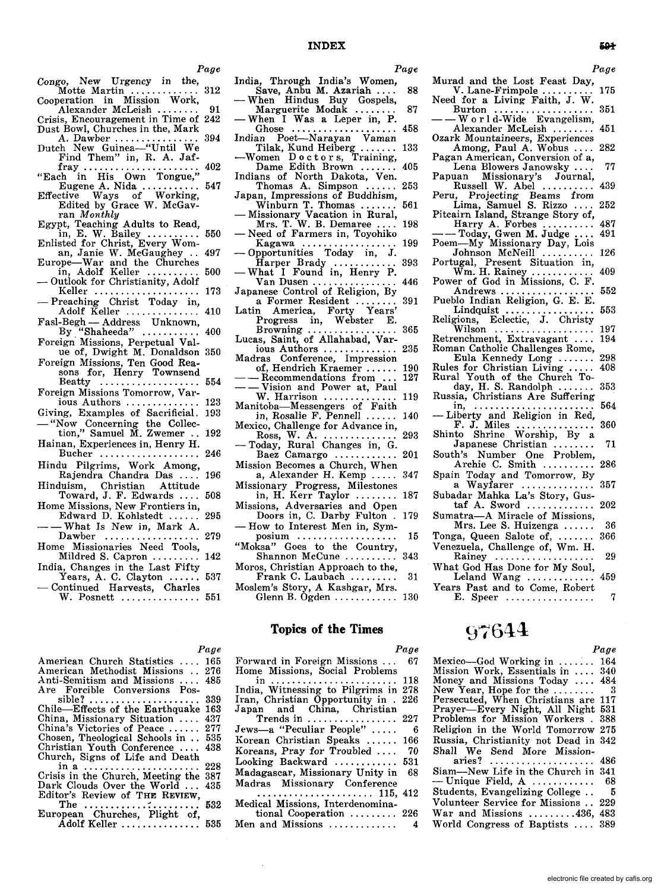- Congo, New Urgency in the, Motte Martin ...............<br>Cooperation in Mission Work, 312
- Alexander McLeish. Crisis, Encouragement in Time of 242
- Dust Bowl, Churches in the, Mark 394
- A. Dawber .................<br>Dutch New Guinea-"Until We Find Them" in, R. A. Jaf-402
- fray<br>
"Each in His Own Tongue,"<br>
Eugene A. Nida<br>
Effective Ways of Working,<br>
Effective Ways of Working,  $\ldots 547$
- Edited by Grace W. McGavran Monthly
- Egypt, Teaching Adults to Read,
- in, E. W. Bailey<br>Enlisted for Christ, Every Woman, Janie W. McGaughey ... 497
- Europe-War and the Churches<br>in, Adolf Keller 500
- Outlook for Christianity, Adolf Keller .................... 173
- Preaching Christ Today in, Adolf Keller .............. 410
- Fasl-Begh Address Unknown,<br>By "Shaheeda" .......... 400  $\ldots$  . . . . . .
- Foreign Missions, Perpetual Value of, Dwight M. Donaldson 350
- Foreign Missions, Ten Good Rea-<br>sons for, Henry Townsend
- Beatty Foreign Missions Tomorrow, Var-
- 123 ious Authors .............. Giving, Examples of Sacrificial. 193
- "Now Concerning the Collec-<br>tion," Samuel M. Zwemer .. 192
- Hainan, Experiences in, Henry H.
- Bucher ................... 246 Hindu Pilgrims, Work Among,
- Rajendra Chandra Das .... 196 Hinduism, Christian Attitude
- Toward, J. F. Edwards .... 508 Home Missions, New Frontiers in,
- 295 Edward D. Kohlstedt ...... - What Is New in, Mark A.
- Dawber .................. 279 Home Missionaries Need Tools,
- Mildred S. Capron ......... 142 India, Changes in the Last Fifty
- Years, A. C. Clayton ...... 537<br>- Continued Harvests, Charles W. Posnett ............... 551
- India. Through India's Women.
- Save, Anbu M. Azariah ....<br>- When Hindus Buy Gospels, Marguerite Modak ...... 87
- When I Was a Leper in, P.
- 458 . . . . . . . . . . Ghose  $\cdots$ Indian Poet-Narayan Vaman
- Tilak, Kund Heiberg ....... 133<br>-Women Doctors, Training,
- Dame Edith Brown ... 405 Indians of North Dakota, Ven.
- 253 Thomas A. Simpson . . . Japan, Impressions of Buddhism,
- Winburn T. Thomas .......<br>Missionary Vacation in Rural,<br>Mrs. T. W. B. Demaree .... 561
- 198 - Need of Farmers in, Toyohiko
- Kagawa<br>
 Opportunities Today in, J. 199
- 393
- Van Dusen ... 446  $\overline{1}$  . . . . . Japanese Control of Religion, By
- anese Control Control.<br>
a Former Resident .........<br>
a merica. Forty Years' 391 Latin America, Forty
- Progress in, Webster E. Browning ....  $\ldots$  365 . . . . . . . . .
- 
- Madras Conference, Impression of, Hendrich Kraemer ...... 190
- $-$  Recommendations from. 127
- Vision and Power at, Paul W. Harrison ........ 119
- Manitoba-Messengers of Faith in, Rosalie F. Pennell ......  $140$
- Mexico, Challenge for Advance in, Ross, W. A. ................<br>- Today, Rural Changes in, G.
- Baez Camargo ............ 201
- Mission Becomes a Church, When a, Alexander H. Kemp ..... 347
- Missionary Progress, Milestones<br>in, H. Kerr Taylor<br>287
- Missions, Adversaries and Open Doors in, C. Darby Fulton . 179
- How to Interest Men in, Sym $posium \ldots \ldots \ldots \ldots \ldots$ 15
- "Moksa" Goes to the Country, Shannon McCune .......... 343
- Moros, Christian Approach to the, 31
- Frank C. Laubach ........ Moslem's Story, A Kashgar, Mrs.
	- Glenn B. Ogden ............... 130

## **Topics of the Times**

India, Witnessing to Pilgrims in 278<br>Iran, Christian Opportunity in . 226 Japan and China, Christian Trends in ................. 227

Korean Christian Speaks ...... 166 Koreans, Pray for Troubled ....

Looking Backward ............ 531 Madagascar, Missionary Unity in

. . . . . . . . . . . . . . . 115, 412

tional Cooperation ........ 226

Forward in Foreign Missions ...

Home Missions, Social Problems

Jews-a "Peculiar People" .....

Madras Missionary Conference

Medical Missions, Interdenomina-

Men and Missions ............

 $\begin{array}{cccccccccccccc} . & . & . & . & . & . & . & . & . & . \end{array}$ 

in.

### $\mathbf{D}$  and  $\mathbf{D}$

|                                       | rage |
|---------------------------------------|------|
| American Church Statistics  165       |      |
| American Methodist Missions . 276     |      |
| Anti-Semitism and Missions  485       |      |
| Are Forcible Conversions Pos-         |      |
|                                       | 339  |
| Chile—Effects of the Earthquake       | 163  |
| China, Missionary Situation  437      |      |
| China's Victories of Peace  277       |      |
| Chosen, Theological Schools in  535   |      |
| Christian Youth Conference  438       |      |
| Church, Signs of Life and Death       |      |
| in a                                  | 228  |
| Crisis in the Church, Meeting the 387 |      |
| Dark Clouds Over the World  435       |      |
| Editor's Review of THE REVIEW,        |      |
|                                       | 532  |
|                                       |      |

European Churches, Plight of, Adolf Keller ................ 535 Page

88

- Murad and the Lost Feast Day, V. Lane-Frimpole ...... 175
- Need for a Living Faith, J. W. **Burton** 351  $\ddots$
- World-Wide Evangelism. Alexander McLeish ....... 451
- Ozark Mountaineers, Experiences<br>Among, Paul A. Wobus .... 282
- Pagan American, Conversion of a, 77
- Lena Blowers Janowsky ....<br>Papuan Missionary's Journal, Russell W. Abel ...... 439
- 1, Projecting Beams from<br>Lima, Samuel S. Rizzo .... Peru. 252
- Pitcairn Island, Strange Story of,<br>Harry A. Forbes .........<br>——Today, Gwen M. Judge .... 487
- 491
- Poem-My Missionary Day, Lois Johnson McNeill ......... 126
- Portugal, Present Situation in,<br>Wm. H. Rainey ............. 409
- Power of God in Missions, C. F.
- Andrews .. 552 . . . . . . . . Pueblo Indian Religion, G. E. E.
- $Lindquist$  ................. 553 Religions, Eclectic, J. Christy
- Wilson ................... 197 Retrenchment, Extravagant .... 194
- Roman Catholic Challenges Rome,
- Eula Kennedy Long ....... 298
- Rules for Christian Living 408
- Rural Youth of the Church To-<br>day, H. S. Randolph .......<br>Russia, Christians Are Suffering 353
- $in, \ldots \ldots$ 564 . . . . . . . . .
- 
- -Liberty and Religion in Red,<br>F. J. Miles<br>Shinto Shrine Worship, By a 360
- Japanese Christian ....... 71 South's Number One Problem,
- Archie C. Smith .......... 286 Spain Today and Tomorrow, By
- a Wayfarer .............. 357 Subadar Mahka La's Story, Gus-
- taf A. Sword .............. 202
- Sumatra-A Miracle of Missions, Mrs. Lee S. Huizenga  $\dots$ 36
- Tonga, Queen Salote of, ....... 366
- Venezuela, Challenge of, Wm. H. Rainey .......... 29
- What God Has Done for My Soul, Leland Wang ............. 459
- Years Past and to Come, Robert  $E.$  Speer ................ 7

## 97644

| Mexico—God Working in                         | 164 |
|-----------------------------------------------|-----|
| Mission Work, Essentials in                   | 340 |
| Money and Missions Today                      | 484 |
| New Year, Hope for the $\dots\dots$           | - 3 |
| Persecuted, When Christians are               | 117 |
| Prayer—Every Night, All Night                 | 531 |
| Problems for Mission Workers.                 | 388 |
| Religion in the World Tomorrow                | 275 |
| Russia, Christianity not Dead in 342          |     |
| Shall We Send More Mission-                   |     |
| aries?                                        | 486 |
| Siam-New Life in the Church in 341            |     |
| -- Unique Field, $A$                          | 68  |
| Students, Evangelizing College                | - 5 |
| Volunteer Service for Missions                | 229 |
| War and Missions $\ldots \ldots \ldots 436$ . | 483 |
| World Congress of Baptists                    | 389 |
|                                               |     |

Page

خفة

## 293

Page

67

118

-6

70

68

4